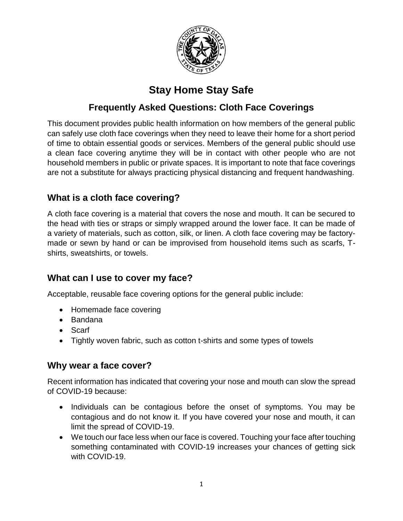

# **Stay Home Stay Safe**

# **Frequently Asked Questions: Cloth Face Coverings**

This document provides public health information on how members of the general public can safely use cloth face coverings when they need to leave their home for a short period of time to obtain essential goods or services. Members of the general public should use a clean face covering anytime they will be in contact with other people who are not household members in public or private spaces. It is important to note that face coverings are not a substitute for always practicing physical distancing and frequent handwashing.

#### **What is a cloth face covering?**

A cloth face covering is a material that covers the nose and mouth. It can be secured to the head with ties or straps or simply wrapped around the lower face. It can be made of a variety of materials, such as cotton, silk, or linen. A cloth face covering may be factorymade or sewn by hand or can be improvised from household items such as scarfs, Tshirts, sweatshirts, or towels.

## **What can I use to cover my face?**

Acceptable, reusable face covering options for the general public include:

- Homemade face covering
- Bandana
- Scarf
- Tightly woven fabric, such as cotton t-shirts and some types of towels

## **Why wear a face cover?**

Recent information has indicated that covering your nose and mouth can slow the spread of COVID-19 because:

- Individuals can be contagious before the onset of symptoms. You may be contagious and do not know it. If you have covered your nose and mouth, it can limit the spread of COVID-19.
- We touch our face less when our face is covered. Touching your face after touching something contaminated with COVID-19 increases your chances of getting sick with COVID-19.